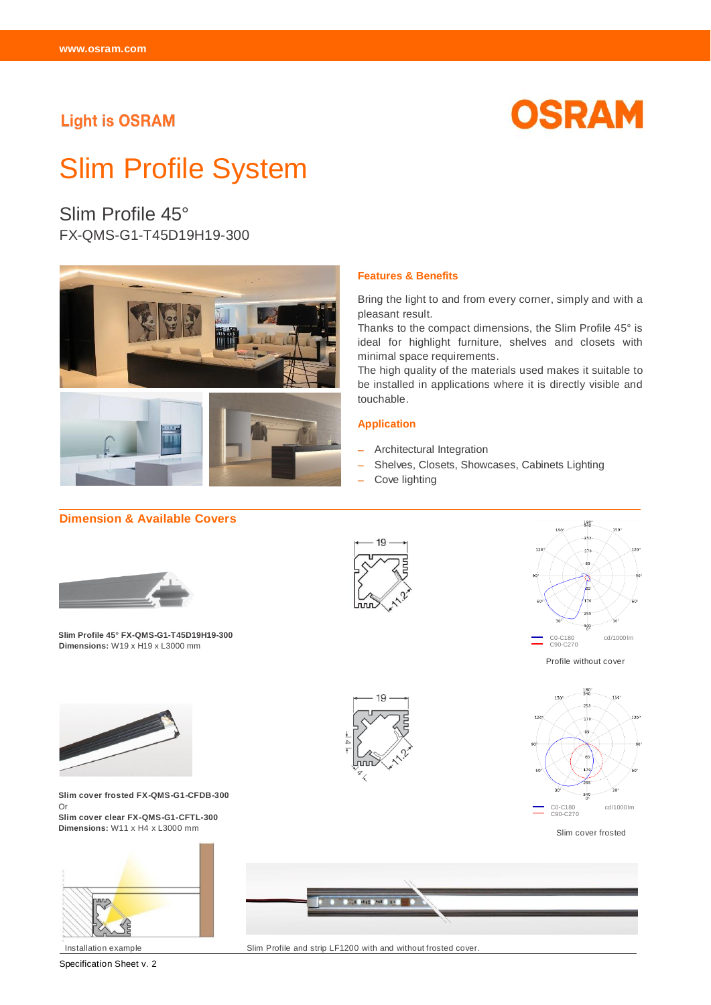# **Light is OSRAM**



# Slim Profile System

Slim Profile 45° FX-QMS-G1-T45D19H19-300



#### **Dimension & Available Covers**



**SSlim Profile 45° FX-QMS-G1-T45D19H19-300 Dimensions:** W19 x H19 x L3000 mm



**Features & Benefits**

minimal space requirements.

- Architectural Integration

pleasant result.

touchable.

**Application**

- Cove lighting

Bring the light to and from every corner, simply and with a

Thanks to the compact dimensions, the Slim Profile 45° is ideal for highlight furniture, shelves and closets with

The high quality of the materials used makes it suitable to be installed in applications where it is directly visible and

- Shelves, Closets, Showcases, Cabinets Lighting



Profile without cover



Slim cover frosted



**Slim cover frosted FX-QMS-G1-CFDB-300**  Or **Slim cover clear FX-QMS-G1-CFTL-300**

**Dimensions:** W11 x H4 x L3000 mm



Specification Sheet v. 2



Installation example Slim Profile and strip LF1200 with and without frosted cover.

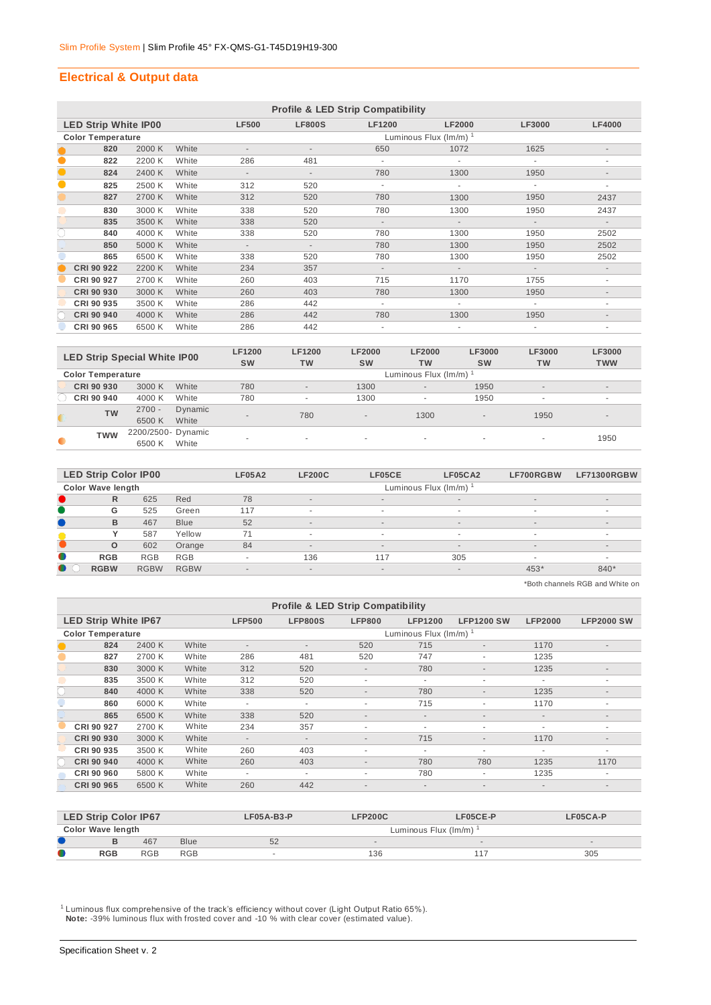#### **Electrical & Output data**

|           | <b>Profile &amp; LED Strip Compatibility</b> |        |       |                          |                             |                          |                          |                          |                          |  |  |  |
|-----------|----------------------------------------------|--------|-------|--------------------------|-----------------------------|--------------------------|--------------------------|--------------------------|--------------------------|--|--|--|
|           | <b>LED Strip White IP00</b>                  |        |       | <b>LF500</b>             | <b>LF800S</b>               | <b>LF1200</b>            | <b>LF2000</b>            | <b>LF3000</b>            | <b>LF4000</b>            |  |  |  |
|           | <b>Color Temperature</b>                     |        |       |                          | Luminous Flux $(lm/m)^{-1}$ |                          |                          |                          |                          |  |  |  |
|           | 820                                          | 2000 K | White |                          |                             | 650                      | 1072                     | 1625                     | $\overline{\phantom{a}}$ |  |  |  |
| $\bullet$ | 822                                          | 2200 K | White | 286                      | 481                         | ٠                        |                          |                          | ۰                        |  |  |  |
| $\bullet$ | 824                                          | 2400 K | White | $\overline{\phantom{a}}$ | $\sim$                      | 780                      | 1300                     | 1950                     | $\overline{\phantom{a}}$ |  |  |  |
| 0         | 825                                          | 2500 K | White | 312                      | 520                         | $\overline{\phantom{a}}$ |                          |                          | $\overline{\phantom{a}}$ |  |  |  |
|           | 827                                          | 2700 K | White | 312                      | 520                         | 780                      | 1300                     | 1950                     | 2437                     |  |  |  |
|           | 830                                          | 3000 K | White | 338                      | 520                         | 780                      | 1300                     | 1950                     | 2437                     |  |  |  |
|           | 835                                          | 3500 K | White | 338                      | 520                         | $\overline{\phantom{a}}$ | $\overline{\phantom{a}}$ | $\overline{\phantom{a}}$ | $\overline{\phantom{a}}$ |  |  |  |
| O         | 840                                          | 4000 K | White | 338                      | 520                         | 780                      | 1300                     | 1950                     | 2502                     |  |  |  |
|           | 850                                          | 5000 K | White | $\overline{\phantom{a}}$ | $\sim$                      | 780                      | 1300                     | 1950                     | 2502                     |  |  |  |
|           | 865                                          | 6500 K | White | 338                      | 520                         | 780                      | 1300                     | 1950                     | 2502                     |  |  |  |
|           | CRI 90 922                                   | 2200 K | White | 234                      | 357                         | $\blacksquare$           | $\overline{\phantom{a}}$ | $\overline{\phantom{a}}$ | $\overline{\phantom{a}}$ |  |  |  |
|           | CRI 90 927                                   | 2700 K | White | 260                      | 403                         | 715                      | 1170                     | 1755                     | ٠                        |  |  |  |
|           | CRI 90 930                                   | 3000 K | White | 260                      | 403                         | 780                      | 1300                     | 1950                     | $\overline{\phantom{a}}$ |  |  |  |
|           | CRI 90 935                                   | 3500 K | White | 286                      | 442                         | $\overline{\phantom{a}}$ |                          |                          | ۰                        |  |  |  |
|           | CRI 90 940                                   | 4000 K | White | 286                      | 442                         | 780                      | 1300                     | 1950                     | $\overline{\phantom{a}}$ |  |  |  |
|           | CRI 90 965                                   | 6500 K | White | 286                      | 442                         | $\blacksquare$           | $\overline{\phantom{a}}$ | $\overline{\phantom{a}}$ | ٠                        |  |  |  |

|           | <b>LED Strip Special White IP00</b> |                    |         | <b>LF1200</b><br><b>SW</b> | <b>LF1200</b><br><b>TW</b> | <b>LF2000</b><br><b>SW</b> | <b>LF2000</b><br><b>TW</b> | <b>LF3000</b><br><b>SW</b> | LF3000<br><b>TW</b>      | <b>LF3000</b><br><b>TWW</b> |  |  |
|-----------|-------------------------------------|--------------------|---------|----------------------------|----------------------------|----------------------------|----------------------------|----------------------------|--------------------------|-----------------------------|--|--|
|           | <b>Color Temperature</b>            |                    |         |                            | Luminous Flux (Im/m) 1     |                            |                            |                            |                          |                             |  |  |
|           | CRI 90 930                          | 3000 K             | White   | 780                        | $\overline{a}$             | 1300                       | $\overline{a}$             | 1950                       | $\overline{\phantom{a}}$ | $\sim$                      |  |  |
|           | CRI 90 940                          | 4000 K             | White   | 780                        | $\sim$                     | 1300                       | $\overline{\phantom{a}}$   | 1950                       | ٠                        | ۰                           |  |  |
|           | <b>TW</b>                           | $2700 -$           | Dynamic | $\sim$                     | 780                        | $\overline{\phantom{a}}$   | 1300                       | $\overline{a}$             | 1950                     | $\overline{\phantom{a}}$    |  |  |
|           |                                     | 6500 K             | White   |                            |                            |                            |                            |                            |                          |                             |  |  |
| $\bullet$ | <b>TWW</b>                          | 2200/2500- Dynamic |         | $\overline{\phantom{a}}$   |                            |                            | $\overline{\phantom{a}}$   | $\overline{\phantom{a}}$   | ۰                        | 1950                        |  |  |
|           |                                     | 6500 K             | White   |                            |                            |                            |                            |                            |                          |                             |  |  |

| <b>LED Strip Color IP00</b> |             |             | <b>LF05A2</b>            | <b>LF200C</b>            | LF05CE                   | LF05CA2                  | LF700RGBW                | LF71300RGBW    |  |
|-----------------------------|-------------|-------------|--------------------------|--------------------------|--------------------------|--------------------------|--------------------------|----------------|--|
| Color Wave length           |             |             |                          | Luminous Flux (lm/m)     |                          |                          |                          |                |  |
| R                           | 625         | Red         | 78                       | $\overline{a}$           | $\overline{a}$           | $\overline{\phantom{a}}$ | $\overline{\phantom{a}}$ | $\overline{a}$ |  |
| G                           | 525         | Green       | 117                      | $\overline{\phantom{a}}$ | $\overline{\phantom{a}}$ | ۰                        | $\sim$                   | $\sim$         |  |
| B                           | 467         | <b>Blue</b> | 52                       | $\overline{a}$           | $\overline{\phantom{a}}$ | $\overline{\phantom{a}}$ | $\overline{a}$           | $\sim$         |  |
|                             | 587         | Yellow      | 71                       | $\overline{\phantom{a}}$ | $\overline{\phantom{a}}$ | $\overline{\phantom{a}}$ | $\sim$                   | $\sim$         |  |
| $\circ$                     | 602         | Orange      | 84                       | $\overline{\phantom{a}}$ | $\overline{\phantom{a}}$ | $\overline{\phantom{a}}$ | $\overline{a}$           | $\sim$         |  |
| O<br><b>RGB</b>             | <b>RGB</b>  | <b>RGB</b>  |                          | 136                      | 117                      | 305                      | $\overline{\phantom{a}}$ |                |  |
| <b>RGBW</b>                 | <b>RGBW</b> | <b>RGBW</b> | $\overline{\phantom{a}}$ | $\overline{a}$           | $\overline{\phantom{a}}$ | $\overline{\phantom{a}}$ | $453*$                   | 840*           |  |

\*Both channels RGB and White on

| <b>Profile &amp; LED Strip Compatibility</b> |        |       |                          |                                    |                          |                          |                          |                          |                          |  |  |
|----------------------------------------------|--------|-------|--------------------------|------------------------------------|--------------------------|--------------------------|--------------------------|--------------------------|--------------------------|--|--|
| <b>LED Strip White IP67</b>                  |        |       | <b>LFP500</b>            | <b>LFP800S</b>                     | <b>LFP800</b>            | <b>LFP1200</b>           | <b>LFP1200 SW</b>        | <b>LFP2000</b>           | <b>LFP2000 SW</b>        |  |  |
| <b>Color Temperature</b>                     |        |       |                          | Luminous Flux $(\text{Im/m})^{-1}$ |                          |                          |                          |                          |                          |  |  |
| 824                                          | 2400 K | White | $\overline{\phantom{a}}$ | $\overline{\phantom{a}}$           | 520                      | 715                      | $\sim$                   | 1170                     | $\overline{\phantom{a}}$ |  |  |
| 827                                          | 2700 K | White | 286                      | 481                                | 520                      | 747                      | $\overline{\phantom{a}}$ | 1235                     |                          |  |  |
| 830                                          | 3000 K | White | 312                      | 520                                | $\sim$                   | 780                      | $\overline{\phantom{a}}$ | 1235                     | $\overline{\phantom{a}}$ |  |  |
| 835                                          | 3500 K | White | 312                      | 520                                | $\overline{\phantom{a}}$ | $\overline{\phantom{a}}$ | $\overline{\phantom{a}}$ | ٠                        | ۰                        |  |  |
| 840                                          | 4000 K | White | 338                      | 520                                | $\sim$                   | 780                      | $\sim$                   | 1235                     | $\overline{\phantom{a}}$ |  |  |
| 860                                          | 6000 K | White | $\sim$                   | ٠                                  | ٠                        | 715                      | $\overline{\phantom{a}}$ | 1170                     | ٠                        |  |  |
| 865                                          | 6500 K | White | 338                      | 520                                | $\overline{\phantom{a}}$ | $\overline{\phantom{a}}$ | $\overline{\phantom{a}}$ | $\overline{\phantom{a}}$ | $\overline{\phantom{a}}$ |  |  |
| CRI 90 927                                   | 2700 K | White | 234                      | 357                                | $\overline{\phantom{a}}$ | ٠                        | $\overline{\phantom{a}}$ | ٠                        | ٠                        |  |  |
| CRI 90 930                                   | 3000 K | White | $\sim$                   | $\overline{\phantom{a}}$           | $\overline{\phantom{a}}$ | 715                      | $\overline{a}$           | 1170                     | $\overline{\phantom{a}}$ |  |  |
| CRI 90 935                                   | 3500 K | White | 260                      | 403                                | ٠                        | $\overline{\phantom{a}}$ | $\overline{\phantom{a}}$ | ٠                        | ٠                        |  |  |
| CRI 90 940                                   | 4000 K | White | 260                      | 403                                | $\overline{\phantom{a}}$ | 780                      | 780                      | 1235                     | 1170                     |  |  |
| CRI 90 960                                   | 5800 K | White | $\sim$                   | $\overline{\phantom{a}}$           | $\overline{\phantom{a}}$ | 780                      | $\overline{\phantom{a}}$ | 1235                     | ٠                        |  |  |
| CRI 90 965                                   | 6500 K | White | 260                      | 442                                | $\sim$                   | $\overline{\phantom{a}}$ | $\overline{\phantom{a}}$ | $\overline{\phantom{a}}$ | $\overline{\phantom{a}}$ |  |  |

| <b>LED Strip Color IP67</b> |                                        |     |      | $LF05A-B3-P$ | <b>LFP200C</b>       | LF05CE-P                 | LF05CA-P |  |  |  |
|-----------------------------|----------------------------------------|-----|------|--------------|----------------------|--------------------------|----------|--|--|--|
|                             | <b>Color Wave length</b>               |     |      |              | Luminous Flux (Im/m) |                          |          |  |  |  |
|                             |                                        | 467 | Blue | 52           |                      | $\overline{\phantom{a}}$ |          |  |  |  |
| O                           | <b>RGB</b><br><b>RGB</b><br><b>RGB</b> |     |      |              | 136                  | :1                       | 305      |  |  |  |

<sup>1</sup> Luminous flux comprehensive of the track's efficiency without cover (Light Output Ratio 65%).  **Note:** -39% luminous flux with frosted cover and -10 % with clear cover (estimated value).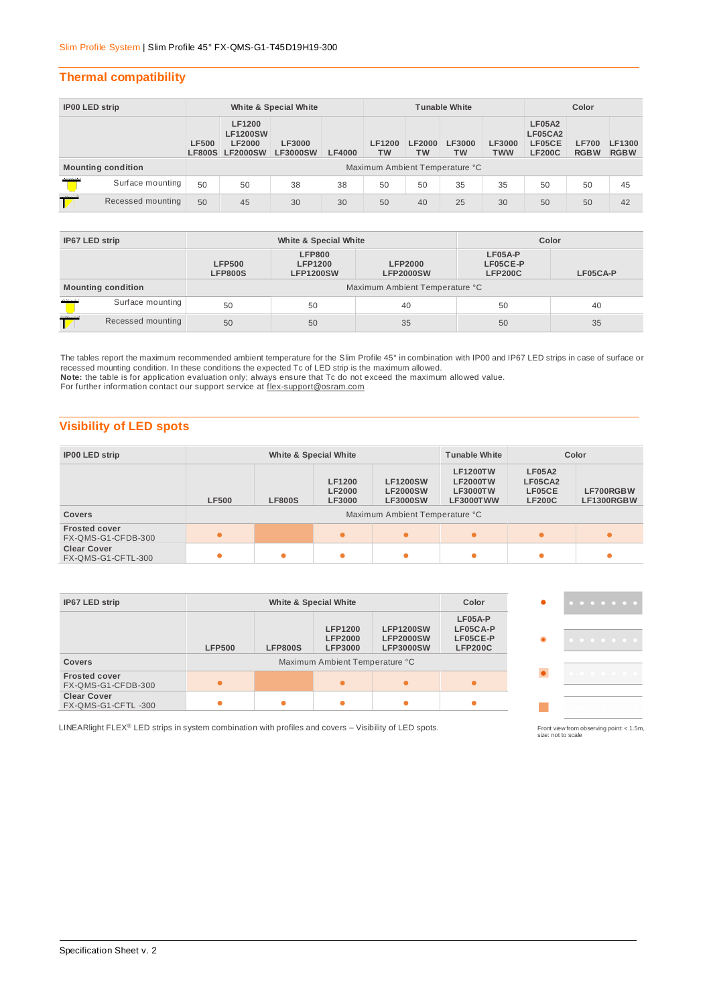#### **Thermal compatibility**

| <b>IP00 LED strip</b>    |                           | White & Special White          |                                                               |                                  |               | <b>Tunable White</b>       |                     |              |                             | Color                                               |                             |                       |
|--------------------------|---------------------------|--------------------------------|---------------------------------------------------------------|----------------------------------|---------------|----------------------------|---------------------|--------------|-----------------------------|-----------------------------------------------------|-----------------------------|-----------------------|
|                          |                           | <b>LF500</b><br><b>LF800S</b>  | LF1200<br><b>LF1200SW</b><br><b>LF2000</b><br><b>LF2000SW</b> | <b>LF3000</b><br><b>LF3000SW</b> | <b>LF4000</b> | <b>LF1200</b><br><b>TW</b> | <b>LF2000</b><br>ТW | LF3000<br>тw | <b>LF3000</b><br><b>TWW</b> | <b>LF05A2</b><br>LF05CA2<br>LF05CE<br><b>LF200C</b> | <b>LF700</b><br><b>RGBW</b> | LF1300<br><b>RGBW</b> |
|                          | <b>Mounting condition</b> | Maximum Ambient Temperature °C |                                                               |                                  |               |                            |                     |              |                             |                                                     |                             |                       |
| maria                    | Surface mounting          | 50                             | 50                                                            | 38                               | 38            | 50                         | 50                  | 35           | 35                          | 50                                                  | 50                          | 45                    |
| manual 1<br>$\mathbb{Z}$ | Recessed mounting         | 50                             | 45                                                            | 30                               | 30            | 50                         | 40                  | 25           | 30                          | 50                                                  | 50                          | 42                    |

| IP67 LED strip            |                   |                                 | White & Special White                                                                     | Color |                                       |          |  |  |  |
|---------------------------|-------------------|---------------------------------|-------------------------------------------------------------------------------------------|-------|---------------------------------------|----------|--|--|--|
|                           |                   | <b>LFP500</b><br><b>LFP800S</b> | <b>LFP800</b><br><b>LFP1200</b><br><b>LFP2000</b><br><b>LFP1200SW</b><br><b>LFP2000SW</b> |       | LF05A-P<br>LF05CE-P<br><b>LFP200C</b> | LF05CA-P |  |  |  |
| <b>Mounting condition</b> |                   | Maximum Ambient Temperature °C  |                                                                                           |       |                                       |          |  |  |  |
| marie                     | Surface mounting  | 50                              | 50                                                                                        | 40    | 50                                    | 40       |  |  |  |
| 221122221                 | Recessed mounting | 50                              | 50                                                                                        | 35    | 50                                    | 35       |  |  |  |

The tables report the maximum recommended ambient temperature for the Slim Profile 45° in combination with IP00 and IP67 LED strips in case of surface or recessed mounting condition. In these conditions the expected Tc of LED strip is the maximum allowed. **Note:** the table is for application evaluation only; always ensure that Tc do not exceed the maximum allowed value.

For further information contact our support service at [flex-support@osram.com](mailto:flex-support@osram.com) 

## **Visibility of LED spots**

| White & Special White<br><b>IP00 LED strip</b> |              |               |                                                 | <b>Tunable White</b>                                                                    |                                                                    | Color                                               |                         |
|------------------------------------------------|--------------|---------------|-------------------------------------------------|-----------------------------------------------------------------------------------------|--------------------------------------------------------------------|-----------------------------------------------------|-------------------------|
| <b>Covers</b>                                  | <b>LF500</b> | <b>LF800S</b> | <b>LF1200</b><br><b>LF2000</b><br><b>LF3000</b> | <b>LF1200SW</b><br><b>LF2000SW</b><br><b>LF3000SW</b><br>Maximum Ambient Temperature °C | <b>LF1200TW</b><br><b>LF2000TW</b><br><b>LF3000TW</b><br>LF3000TWW | <b>LF05A2</b><br>LF05CA2<br>LF05CE<br><b>LF200C</b> | LF700RGBW<br>LF1300RGBW |
|                                                |              |               |                                                 |                                                                                         |                                                                    |                                                     |                         |
| <b>Frosted cover</b><br>FX-QMS-G1-CFDB-300     | $\bullet$    |               |                                                 | $\bullet$                                                                               |                                                                    |                                                     | $\bullet$               |
| <b>Clear Cover</b><br>FX-QMS-G1-CFTL-300       | $\bullet$    |               |                                                 | ٠                                                                                       |                                                                    |                                                     |                         |

| IP67 LED strip                             | White & Special White |                |                                                                                      |                                                          | Color                                             | . |
|--------------------------------------------|-----------------------|----------------|--------------------------------------------------------------------------------------|----------------------------------------------------------|---------------------------------------------------|---|
| <b>Covers</b>                              | <b>LFP500</b>         | <b>LFP800S</b> | <b>LFP1200</b><br><b>LFP2000</b><br><b>LFP3000</b><br>Maximum Ambient Temperature °C | <b>LFP1200SW</b><br><b>LFP2000SW</b><br><b>LFP3000SW</b> | LF05A-P<br>LF05CA-P<br>LF05CE-P<br><b>LFP200C</b> | . |
|                                            |                       |                |                                                                                      |                                                          |                                                   |   |
| <b>Frosted cover</b><br>FX-QMS-G1-CFDB-300 | $\bullet$             |                | $\bullet$                                                                            | $\bullet$                                                |                                                   | . |
| <b>Clear Cover</b><br>FX-QMS-G1-CFTL-300   |                       | $\bullet$      | ۰                                                                                    |                                                          |                                                   |   |

LINEARlight FLEX® LED strips in system combination with profiles and covers - Visibility of LED spots.

Front view from observing point: < 1.5m, size: not to scale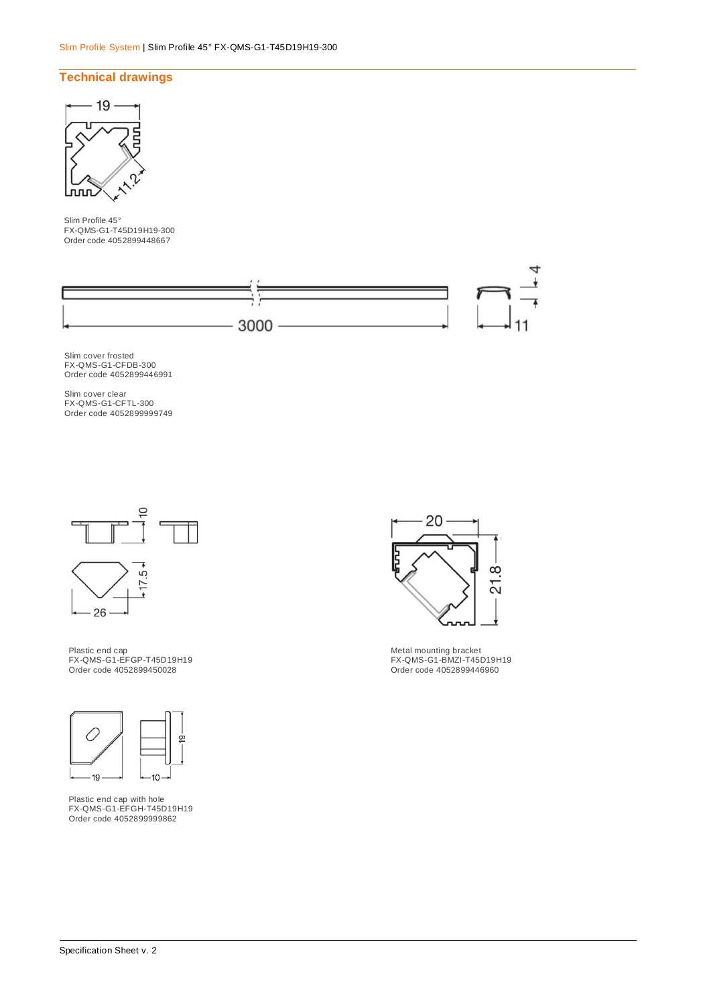## **Technical drawings**



Slim Profile 45° FX-QMS-G1-T45D19H19-300 Order code 4052899448667



Slim cover frosted FX-QMS-G1-CFDB-300 Order code 4052899446991

Slim cover clear FX-QMS-G1-CFTL-300 Order code 4052899999749



Plastic end cap FX-QMS-G1-EFGP-T45D19H19 Order code 4052899450028



Plastic end cap with hole FX-QMS-G1-EFGH-T45D19H19 Order code 4052899999862



Metal mounting bracket FX-QMS-G1-BMZI-T45D19H19 Order code 4052899446960